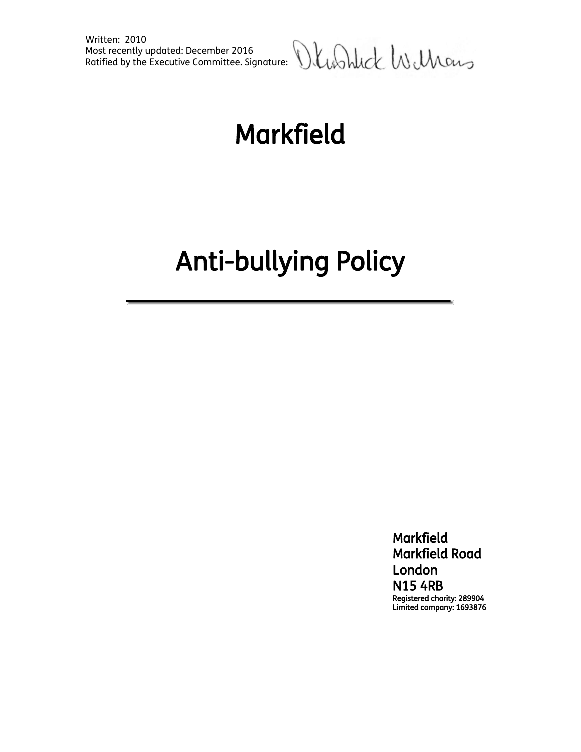

# Markfield

# Anti-bullying Policy

 Markfield Markfield Road London N15 4RB Registered charity: 289904 Limited company: 1693876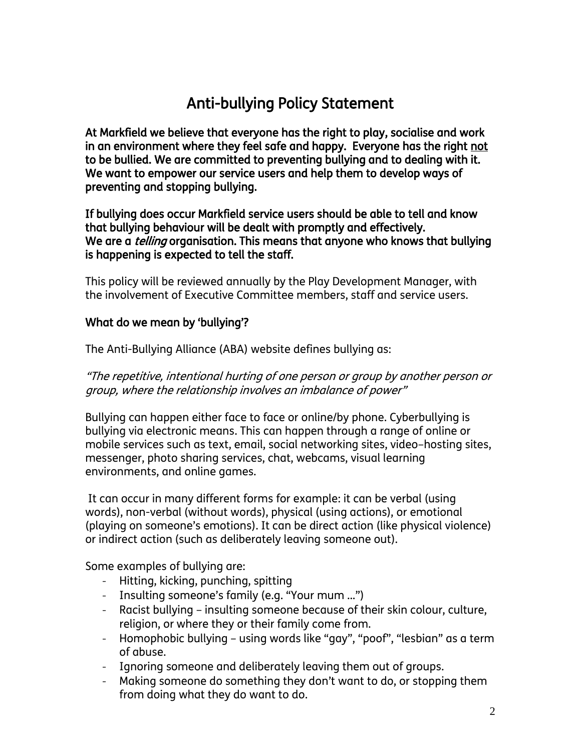## Anti-bullying Policy Statement

At Markfield we believe that everyone has the right to play, socialise and work in an environment where they feel safe and happy. Everyone has the right not to be bullied. We are committed to preventing bullying and to dealing with it. We want to empower our service users and help them to develop ways of preventing and stopping bullying.

If bullying does occur Markfield service users should be able to tell and know that bullying behaviour will be dealt with promptly and effectively. We are a *telling* organisation. This means that anyone who knows that bullying is happening is expected to tell the staff.

This policy will be reviewed annually by the Play Development Manager, with the involvement of Executive Committee members, staff and service users.

#### What do we mean by 'bullying'?

The Anti-Bullying Alliance (ABA) website defines bullying as:

"The repetitive, intentional hurting of one person or group by another person or group, where the relationship involves an imbalance of power"

Bullying can happen either face to face or online/by phone. Cyberbullying is bullying via electronic means. This can happen through a range of online or mobile services such as text, email, social networking sites, video–hosting sites, messenger, photo sharing services, chat, webcams, visual learning environments, and online games.

It can occur in many different forms for example: it can be verbal (using words), non-verbal (without words), physical (using actions), or emotional (playing on someone's emotions). It can be direct action (like physical violence) or indirect action (such as deliberately leaving someone out).

Some examples of bullying are:

- Hitting, kicking, punching, spitting
- Insulting someone's family (e.g. "Your mum ...")
- Racist bullying insulting someone because of their skin colour, culture, religion, or where they or their family come from.
- Homophobic bullying using words like "gay", "poof", "lesbian" as a term of abuse.
- Ignoring someone and deliberately leaving them out of groups.
- Making someone do something they don't want to do, or stopping them from doing what they do want to do.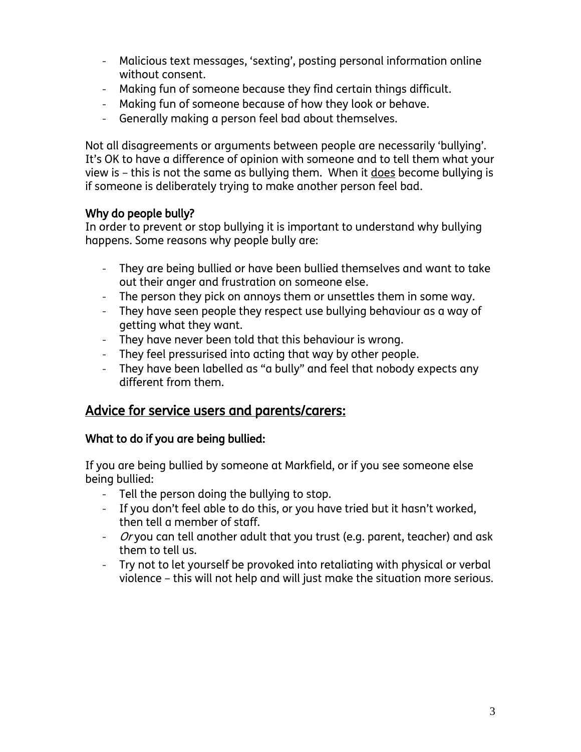- Malicious text messages, 'sexting', posting personal information online without consent.
- Making fun of someone because they find certain things difficult.
- Making fun of someone because of how they look or behave.
- Generally making a person feel bad about themselves.

Not all disagreements or arguments between people are necessarily 'bullying'. It's OK to have a difference of opinion with someone and to tell them what your view is – this is not the same as bullying them. When it does become bullying is if someone is deliberately trying to make another person feel bad.

#### Why do people bully?

In order to prevent or stop bullying it is important to understand why bullying happens. Some reasons why people bully are:

- They are being bullied or have been bullied themselves and want to take out their anger and frustration on someone else.
- The person they pick on annoys them or unsettles them in some way.
- They have seen people they respect use bullying behaviour as a way of getting what they want.
- They have never been told that this behaviour is wrong.
- They feel pressurised into acting that way by other people.
- They have been labelled as "a bully" and feel that nobody expects any different from them.

### Advice for service users and parents/carers:

#### What to do if you are being bullied:

If you are being bullied by someone at Markfield, or if you see someone else being bullied:

- Tell the person doing the bullying to stop.
- If you don't feel able to do this, or you have tried but it hasn't worked, then tell a member of staff.
- Or you can tell another adult that you trust (e.g. parent, teacher) and ask them to tell us.
- Try not to let yourself be provoked into retaliating with physical or verbal violence – this will not help and will just make the situation more serious.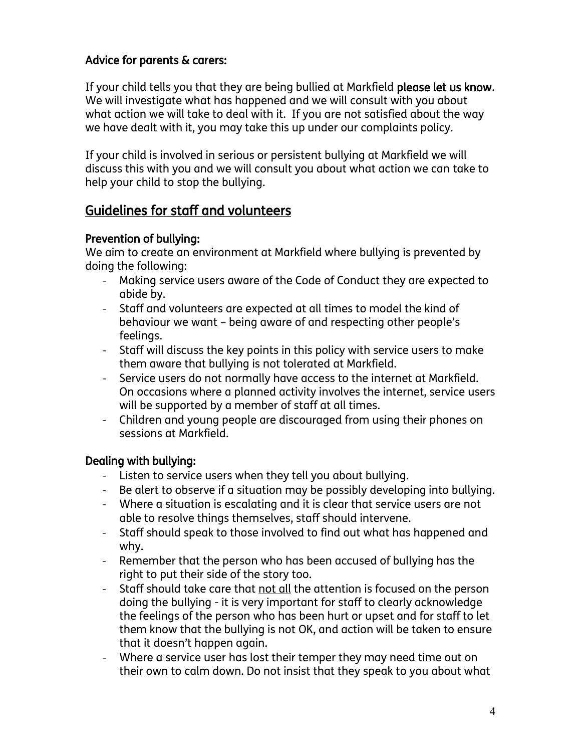#### Advice for parents & carers:

If your child tells you that they are being bullied at Markfield please let us know. We will investigate what has happened and we will consult with you about what action we will take to deal with it. If you are not satisfied about the way we have dealt with it, you may take this up under our complaints policy.

If your child is involved in serious or persistent bullying at Markfield we will discuss this with you and we will consult you about what action we can take to help your child to stop the bullying.

### Guidelines for staff and volunteers

#### Prevention of bullying:

We aim to create an environment at Markfield where bullying is prevented by doing the following:

- Making service users aware of the Code of Conduct they are expected to abide by.
- Staff and volunteers are expected at all times to model the kind of behaviour we want – being aware of and respecting other people's feelings.
- Staff will discuss the key points in this policy with service users to make them aware that bullying is not tolerated at Markfield.
- Service users do not normally have access to the internet at Markfield. On occasions where a planned activity involves the internet, service users will be supported by a member of staff at all times.
- Children and young people are discouraged from using their phones on sessions at Markfield.

#### Dealing with bullying:

- Listen to service users when they tell you about bullying.
- Be alert to observe if a situation may be possibly developing into bullying.
- Where a situation is escalating and it is clear that service users are not able to resolve things themselves, staff should intervene.
- Staff should speak to those involved to find out what has happened and why.
- Remember that the person who has been accused of bullying has the right to put their side of the story too.
- Staff should take care that not all the attention is focused on the person doing the bullying - it is very important for staff to clearly acknowledge the feelings of the person who has been hurt or upset and for staff to let them know that the bullying is not OK, and action will be taken to ensure that it doesn't happen again.
- Where a service user has lost their temper they may need time out on their own to calm down. Do not insist that they speak to you about what